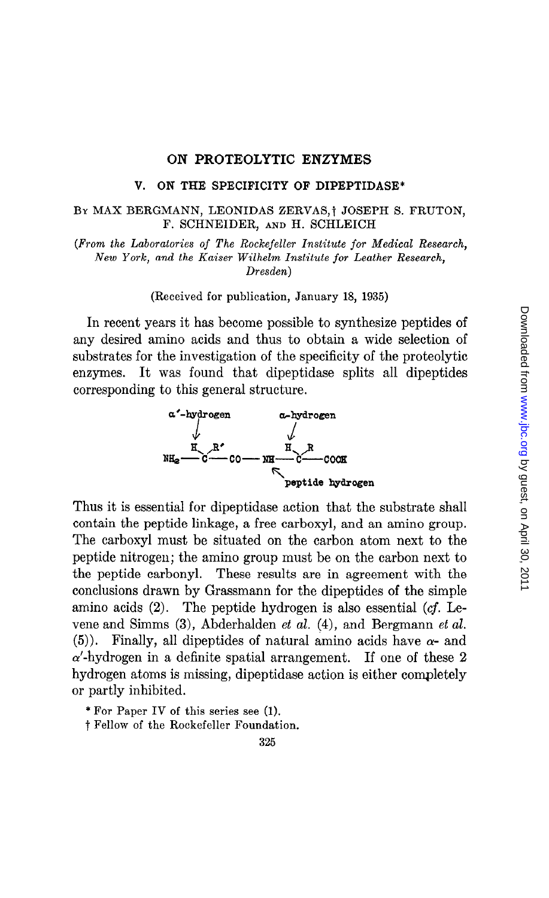### ON PROTEOLYTIC ENZYMES

### V. ON THE SPECIFICITY OF DIPEPTIDASE\*

## BY MAX BERGMANN, LEONIDAS ZERVAS,<sup>†</sup> JOSEPH S. FRUTON, F. SCHNEIDER, AND H. SCHLEICH

(From the Laboratories of The Rockefeller Institute for Medical Research, New York, and the Kaiser Wilhelm Institute for Leather Research, Dresden)

(Received for publication, January 18, 1935)

In recent years it has become possible to synthesize peptides of any desired amino acids and thus to obtain a wide selection of substrates for the investigation of the specificity of the proteolytic enzymes. It was found that dipeptidase splits all dipeptides corresponding to this general structure.



Thus it is essential for dipeptidase action that the substrate shall contain the peptide linkage, a free carboxyl, and an amino group. The carboxyl must be situated on the carbon atom next to the peptide nitrogen; the amino group must be on the carbon next to the peptide carbonyl. These results are in agreement with the conclusions drawn by Grassmann for the dipeptides of the simple amino acids (2). The peptide hydrogen is also essential (cf. Levene and Simms (3), Abderhalden et al. (4), and Bergmann et al. (5)). Finally, all dipeptides of natural amino acids have  $\alpha$ - and  $\alpha'$ -hydrogen in a definite spatial arrangement. If one of these 2 hydrogen atoms is missing, dipeptidase action is either completely or partly inhibited.

\* For Paper IV of this series see (1).

t Fellow of the Rockefeller Foundation.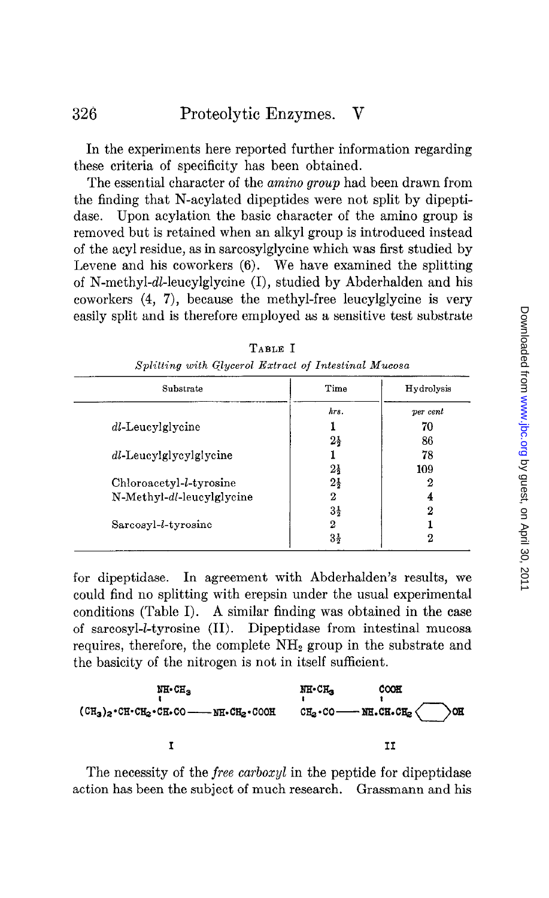In the experiments here reported further information regarding these criteria of specificity has been obtained.

The essential character of the amino group had been drawn from the finding that N-acylated dipeptides were not split by dipeptidase. Upon acylation the basic character of the amino group is removed but is retained when an alkyl group is introduced instead of the acyl residue, as in sarcosylglycine which was first studied by Levene and his coworkers (6). We have examined the splitting of N-methyl-dl-leucylglycine (I), studied by Abderhalden and his coworkers (4, 7), because the methyl-free leucylglycine is very easily split and is therefore employed as a sensitive test substrate

| Substrate                        | Time           | Hydrolysis |
|----------------------------------|----------------|------------|
|                                  | hrs.           | ver cent   |
| dl-Leucylglycine                 |                | 70         |
|                                  | $2\frac{1}{2}$ | 86         |
| dl-Leucylglycylglycine           |                | 78         |
|                                  | $2\frac{1}{2}$ | 109        |
| Chloroacetyl- <i>l</i> -tyrosine | $2\frac{1}{2}$ | 2          |
| N-Methyl-dl-leucylglycine        | 2              | 4          |
|                                  | $3\frac{1}{2}$ | 2          |
| Sarcosyl- <i>l</i> -tyrosine     | 2              |            |
|                                  | $3\frac{1}{2}$ | 2          |

TABLE I Splitting with Glycerol Extract of Intestinal Muco

for dipeptidase. In agreement with Abderhalden's results, we could find no splitting with erepsin under the usual experimental conditions (Table I). A similar finding was obtained in the case of sarcosyl-*l*-tyrosine (II). Dipeptidase from intestinal mucosa requires, therefore, the complete  $NH<sub>2</sub>$  group in the substrate and the basicity of the nitrogen is not in itself sufficient.



The necessity of the *free carboxyl* in the peptide for dipeptidase action has been the subject of much research. Grassmann and his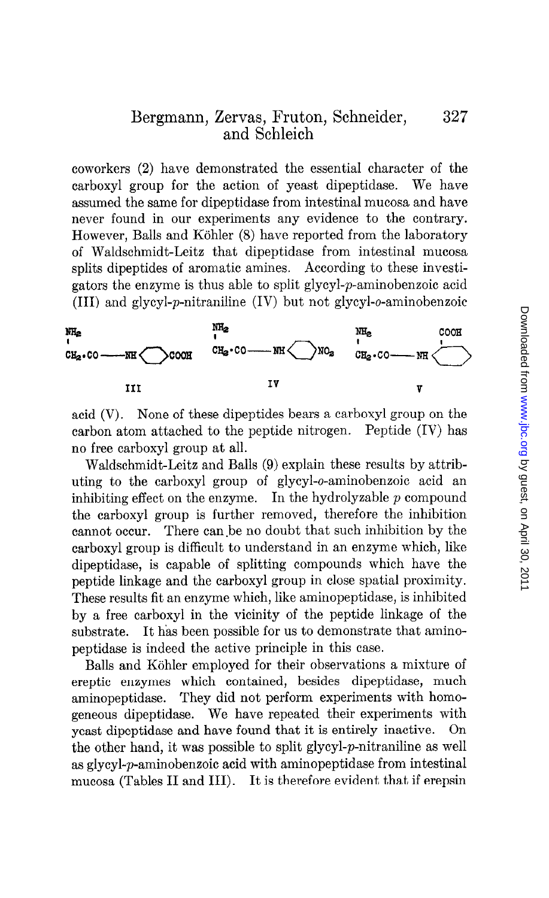coworkers (2) have demonstrated the essential character of the carboxyl group for the action of yeast dipeptidase. We have assumed the same for dipeptidase from intestinal mucosa and have never found in our experiments any evidence to the contrary. However, Balls and Köhler (8) have reported from the laboratory of Waldschmidt-Leitz that dipeptidase from intestinal mucosa splits dipeptides of aromatic amines. According to these investigators the enzyme is thus able to split glycyl-p-aminobenzoic acid (III) and glycyl-p-nitraniline (IV) but not glycyl-o-aminobenzoic



acid (V). None of these dipeptides bears a carboxyl group on the carbon atom attached to the peptide nitrogen. Peptide (IV) has no free carboxyl group at all.

Waldschmidt-Leitz and Balls (9) explain these results by attributing to the carboxyl group of glycyl-o-aminobenzoic acid an inhibiting effect on the enzyme. In the hydrolyzable  $p$  compound the carboxyl group is further removed, therefore the inhibition cannot occur. There can.be no doubt that such inhibition by the carboxyl group is difficult to understand in an enzyme which, like dipeptidase, is capable of splitting compounds which have the peptide linkage and the carboxyl group in close spatial proximity. These results fit an enzyme which, like aminopeptidase, is inhibited by a free carboxyl in the vicinity of the peptide linkage of the substrate. It has been possible for us to demonstrate that aminopeptidase is indeed the active principle in this case.

Balls and Köhler employed for their observations a mixture of ereptic enzymes which contained, besides dipeptidase, much aminopeptidase. They did not perform experiments with homogeneous dipeptidase. We have repeated their experiments with yeast dipeptidase and have found that it is entirely inactive. the other hand, it was possible to split glycyl-p-nitraniline as well as glycyl-p-aminobenzoic acid with aminopeptidase from intestinal mucosa (Tables II and III). It is therefore evident that if erepsin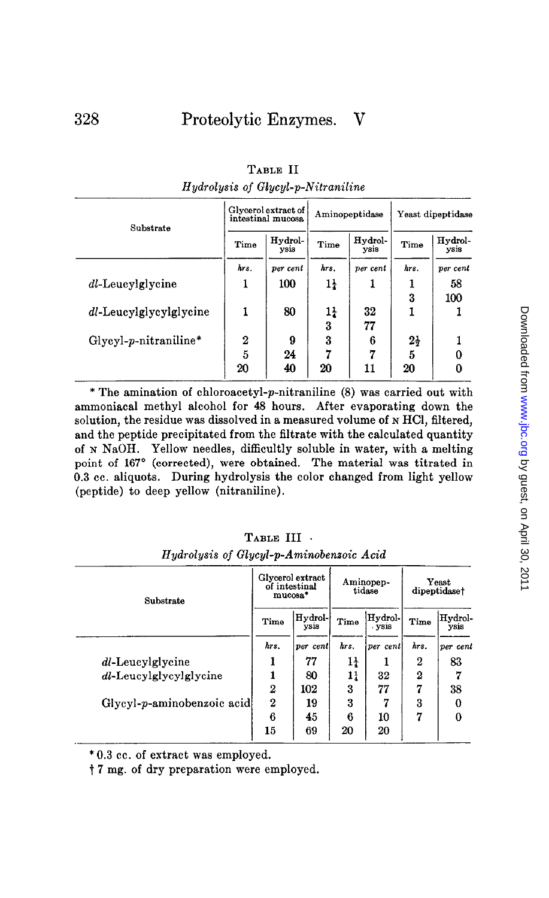| Substrate               |      | Glycerol extract of<br>intestinal mucosa | Aminopeptidase |                 | Yeast dipeptidase |                 |
|-------------------------|------|------------------------------------------|----------------|-----------------|-------------------|-----------------|
|                         | Time | Hydrol-<br>ysis                          | Time           | Hydrol-<br>ysis | Time              | Hydrol-<br>ysis |
|                         | hrs. | per cent                                 | hrs.           | per cent        | hrs.              | per cent        |
| dl-Leucylglycine        | 1    | 100                                      | $1\frac{1}{4}$ | 1               |                   | 58              |
|                         |      |                                          |                |                 | 3                 | 100             |
| dl-Leucylglycylglycine  | 1    | 80                                       | 14             | 32              |                   |                 |
|                         |      |                                          | 3              | 77              |                   |                 |
| $Glycyl-p-nitraniline*$ | 2    | 9                                        | 3              | 6               | $2\frac{1}{2}$    |                 |
|                         | 5    | 24                                       |                | 7               | 5                 | 0               |
|                         | 20   | 40                                       | 20             | 11              | 20                | 0               |

TABLE II Hydrolysis of Glycyl-p-Nitraniline

\* The amination of chloroacetyl-p-nitraniline (8) was carried out with ammoniacal methyl alcohol for 48 hours. After evaporating down the solution, the residue was dissolved in a measured volume of N HCl, filtered, and the peptide precipitated from the filtrate with the calculated quantity of N NaOH. Yellow needles, difficultly soluble in water, with a melting point of 167° (corrected), were obtained. The material was titrated in 0.3 cc. aliquots. During hydrolysis the color changed from light yellow (peptide) to deep yellow (nitraniline).

| Substrate                  |                  | Glycerol extract<br>of intestinal<br>mucosa* | Aminopep-<br>tidase |                   | Yeast<br>dipeptidaset |                 |
|----------------------------|------------------|----------------------------------------------|---------------------|-------------------|-----------------------|-----------------|
|                            | Time             | Hydrol-<br>vsis                              | Time                | Hydrol-<br>. ysis | Time                  | Hydrol-<br>ysis |
|                            | hrs.             | per cent                                     | hrs.                | per cent          | hrs.                  | per cent        |
| dl-Leucylglycine           |                  | 77                                           | 14                  |                   | 2                     | 83              |
| dl-Leucylglycylglycine     |                  | 80                                           | 11                  | 32                | $\boldsymbol{2}$      | 7               |
|                            | $\boldsymbol{2}$ | 102                                          | 3                   | 77                | 7                     | 38              |
| Glycyl-p-aminobenzoic acid | $\bf{2}$         | 19                                           | 3                   | m                 | 3                     | 0               |
|                            | 6                | 45                                           | 6                   | 10                | 7                     | $\bf{0}$        |
|                            | 15               | 69                                           | 20                  | 20                |                       |                 |

|                                         | TABLE III . |  |  |
|-----------------------------------------|-------------|--|--|
| Hydrolysis of Glycyl-p-Aminobenzoic Aci |             |  |  |

\* 0.3 cc. of extract was employed.

t 7 mg. of dry preparation were employed.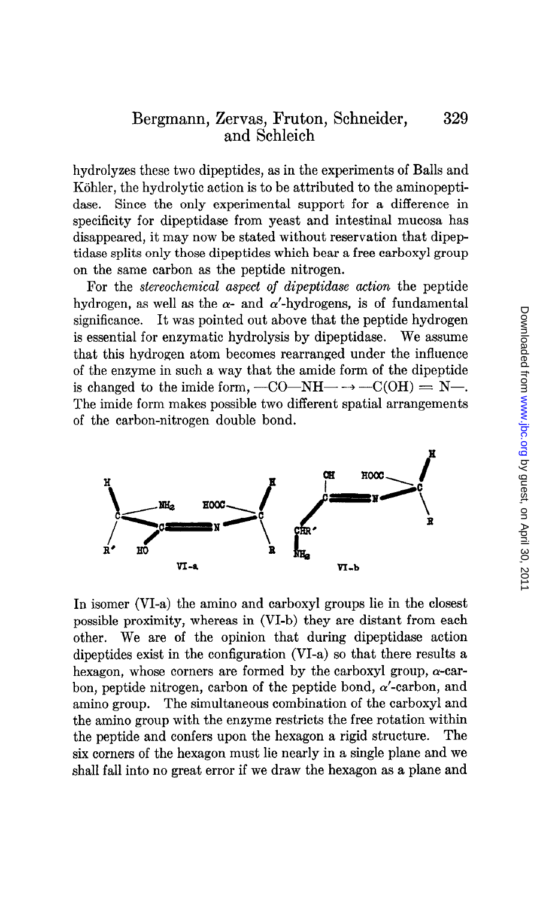hydrolyzes these two dipeptides, as in the experiments of Balls and Köhler, the hydrolytic action is to be attributed to the aminopeptidase. Since the only experimental support for a difference in specificity for dipeptidase from yeast and intestinal mucosa has disappeared, it may now be stated without reservation that dipeptidase splits only those dipeptides which bear a free carboxyl group on the same carbon as the peptide nitrogen.

For the stereochemical aspect of dipeptidase action the peptide hydrogen, as well as the  $\alpha$ - and  $\alpha'$ -hydrogens, is of fundamental significance. It was pointed out above that the peptide hydrogen is essential for enzymatic hydrolysis by dipeptidase. We assume that this hydrogen atom becomes rearranged under the influence of the enzyme in such a way that the amide form of the dipeptide is changed to the imide form,  $-CO-NH$   $\rightarrow$   $-C(OH) = N-.$ The imide form makes possible two different spatial arrangements of the carbon-nitrogen double bond.



In isomer (VI-a) the amino and carboxyl groups lie in the closest possible proximity, whereas in (VI-b) they are distant from each other. We are of the opinion that during dipeptidase action dipeptides exist in the configuration (VI-a) so that there results a hexagon, whose corners are formed by the carboxyl group,  $\alpha$ -carbon, peptide nitrogen, carbon of the peptide bond,  $\alpha'$ -carbon, and amino group. The simultaneous combination of the carboxyl and the amino group with the enzyme restricts the free rotation within the peptide and confers upon the hexagon a rigid structure. The six corners of the hexagon must lie nearly in a single plane and we shall fall into no great error if we draw the hexagon as a plane and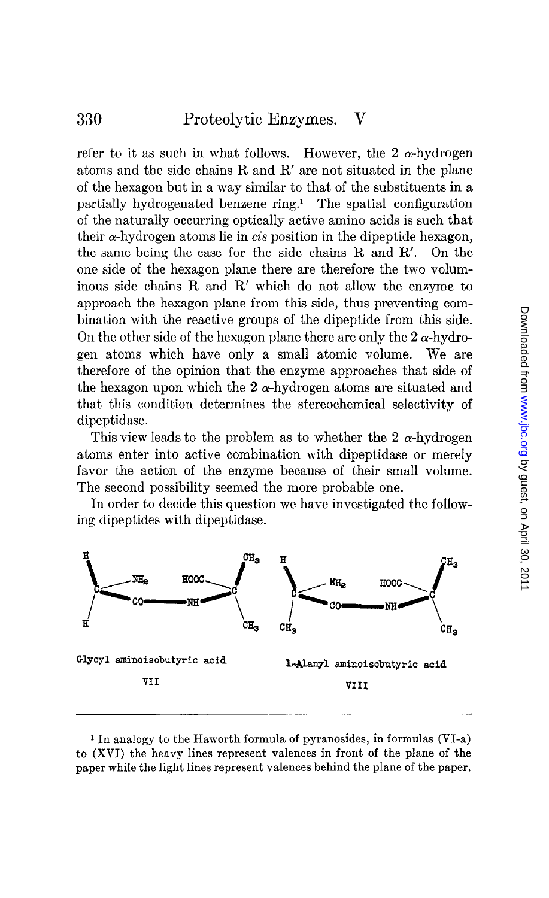refer to it as such in what follows. However, the 2  $\alpha$ -hydrogen atoms and the side chains R and R' are not situated in the plane of the hexagon but in a way similar to that of the substituents in a partially hydrogenated benzene ring.<sup>1</sup> The spatial configuration of the naturally occurring optically active amino acids is such that their  $\alpha$ -hydrogen atoms lie in *cis* position in the dipeptide hexagon, the same being the case for the side chains R and R'. On the one side of the hexagon plane there are therefore the two voluminous side chains R and R' which do not allow the enzyme to approach the hexagon plane from this side, thus preventing combination with the reactive groups of the dipeptide from this side. On the other side of the hexagon plane there are only the  $2\alpha$ -hydrogen atoms which have only a small atomic volume. We are therefore of the opinion that the enzyme approaches that side of the hexagon upon which the 2  $\alpha$ -hydrogen atoms are situated and that this condition determines the stereochemical selectivity of dipeptidase.

This view leads to the problem as to whether the 2  $\alpha$ -hydrogen atoms enter into active combination with dipeptidase or merely favor the action of the enzyme because of their small volume. The second possibility seemed the more probable one.

In order to decide this question we have investigated the following dipeptides with dipeptidase.



1 In analogy to the Haworth formula of pyranosides, in formulas (VI-a) to (XVI) the heavy lines represent valences in front of the plane of the paper while the light lines represent valences behind the plane of the paper.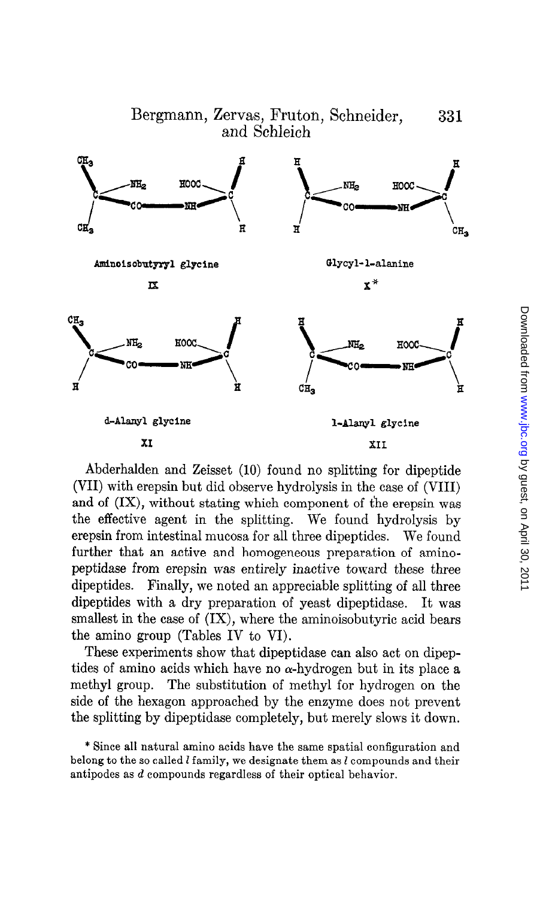

Abderhalden and Zeisset (10) found no splitting for dipeptide (VII) with erepsin but did observe hydrolysis in the case of (VIII) and of (IX), without stating which component of the erepsin was the effective agent in the splitting. We found hydrolysis by erepsin from intestinal mucosa for all three dipeptides. We found further that an active and homogeneous preparation of aminopeptidase from erepsin was entirely inactive toward these three dipeptides. Finally, we noted an appreciable splitting of all three dipeptides with a dry preparation of yeast dipeptidase. It was smallest in the case of (IX), where the aminoisobutyric acid bears the amino group (Tables IV to VI).

These experiments show that dipeptidase can also act on dipeptides of amino acids which have no  $\alpha$ -hydrogen but in its place a methyl group. The substitution of methyl for hydrogen on the side of the hexagon approached by the enzyme does not prevent the splitting by dipeptidase completely, but merely slows it down.

<sup>\*</sup> Since all natural amino acids have the same spatial configuration and bince all hatural amino acids have the same spatial connguration and their source belong to the so called  $l$  family, we designate them as  $l$  compounds and their antipodes as  $d$  compounds regardless of their optical behavior.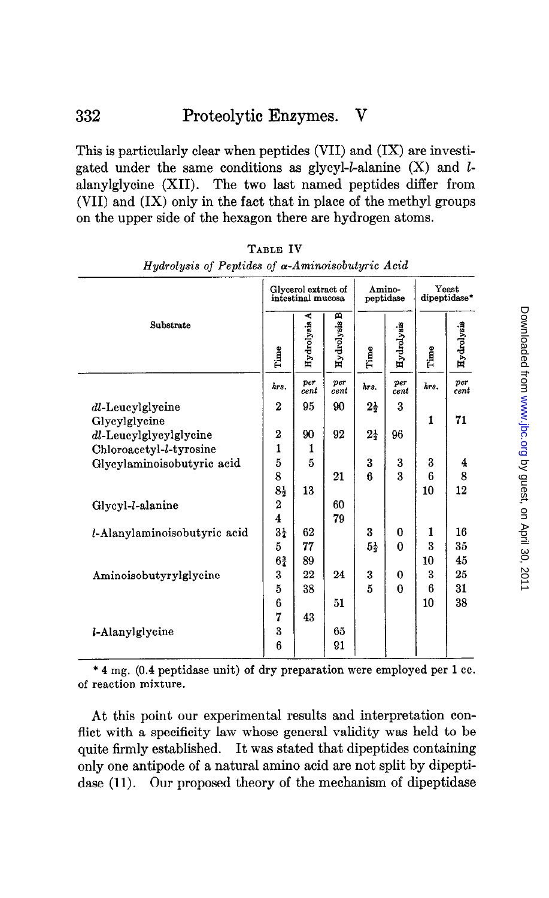# 332 Proteolytic Enzymes. V

This is particularly clear when peptides (VII) and (IX) are investigated under the same conditions as glycyl-l-alanine  $(X)$  and lalanylglycine (XII). The two last named peptides differ from (VII) and (IX) only in the fact that in place of the methyl groups on the upper side of the hexagon there are hydrogen atoms.

| Hydrolysis of Peptides of $\alpha$ -Aminoisobutyric Acid | TYRIE TA                |                                          |                 |                |                     |                       |             |
|----------------------------------------------------------|-------------------------|------------------------------------------|-----------------|----------------|---------------------|-----------------------|-------------|
|                                                          |                         | Glycerol extract of<br>intestinal mucosa |                 |                | Amino-<br>peptidase | Yeast<br>dipeptidase* |             |
| Substrate                                                | Time                    | ⋖<br>Hydrolysis                          | m<br>Hydrolysis | Time           | Hydrolysis          | Time                  | Hydrolysis  |
|                                                          | hrs.                    | per<br>cent                              | per<br>cent     | hrs.           | per<br>cent         | hrs.                  | per<br>cent |
| dl-Leucylglycine<br>Glycylglycine                        | $\boldsymbol{2}$        | 95                                       | 90              | $2\frac{1}{2}$ | 3                   | 1                     | 71          |
| dl-Leucylglycylglycine                                   | $\boldsymbol{2}$        | 90                                       | 92              | $2\frac{1}{2}$ | 96                  |                       |             |
| Chloroacetyl-l-tyrosine                                  | $\mathbf{1}$            | 1                                        |                 |                |                     |                       |             |
| Glycylaminoisobutyric acid                               | 5                       | 5                                        |                 | 3              | 3                   | 3                     | 4           |
|                                                          | 8                       |                                          | 21              | ĥ              | $\overline{3}$      | 6                     | 8           |
|                                                          | $8\frac{1}{2}$          | 13                                       |                 |                |                     | 10                    | 12          |
| Glycyl-l-alanine                                         | $\boldsymbol{2}$        |                                          | 60              |                |                     |                       |             |
|                                                          | $\overline{\mathbf{4}}$ |                                          | 79              |                |                     |                       |             |
| l-Alanylaminoisobutyric acid                             | $3\frac{1}{4}$          | 62                                       |                 | 3              | 0                   | 1                     | 16          |
|                                                          | 5                       | 77                                       |                 | $5\frac{1}{2}$ | $\Omega$            | $\boldsymbol{3}$      | 35          |
|                                                          | $6\frac{3}{4}$          | 89                                       |                 |                |                     | 10                    | 45          |
| Aminoisobutyrylglycine                                   | 3                       | 22                                       | 24              | 3              | 0                   | 3                     | 25          |
|                                                          | 5                       | 38                                       |                 | 5              | $\bf{0}$            | 6                     | 31          |
|                                                          | 6                       |                                          | 51              |                |                     | 10                    | 38          |
|                                                          | 7                       | 43                                       |                 |                |                     |                       |             |
| <i>l</i> -Alanylglycine                                  | 3                       |                                          | 65              |                |                     |                       |             |
|                                                          | 6                       |                                          | 91              |                |                     |                       |             |

TABLE IV Hudrolysis of Pentides of  $\alpha$ -Aminoisobutyric Aci  $\frac{1}{\sin \theta}$  of  $\alpha$ -Aminoisobutyr

\* 4 mg. (0.4 peptidase unit) of dry preparation were employed per 1 cc. of reaction mixture.

At this point our experimental results and interpretation conflict with a specificity law whose general validity was held to be quite firmly established. It was stated that dipeptides containing only one antipode of a natural amino acid are not split by dipeptidase (11). Our proposed theory of the mechanism of dipeptidase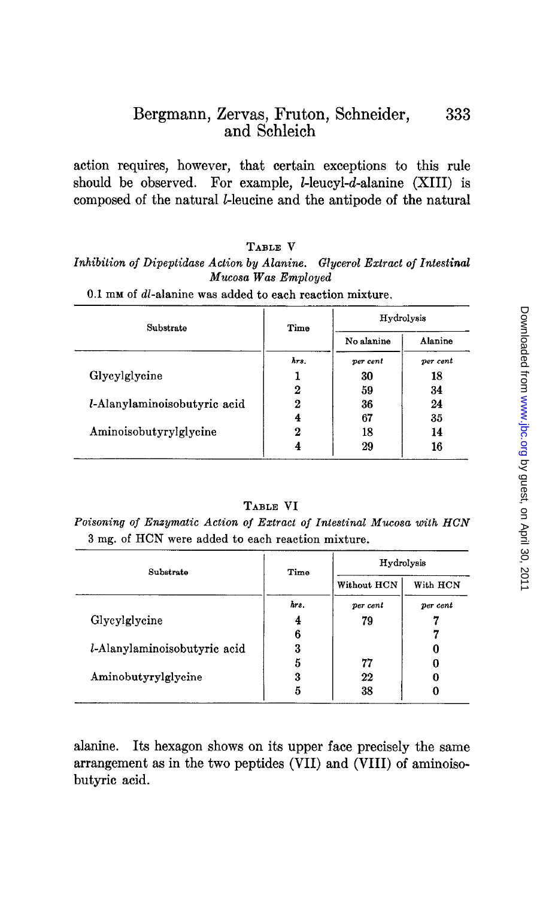action requires, however, that certain exceptions to this rule should be observed. For example, I-leucyl-d-alanine (XIII) is composed of the natural Lleucine and the antipode of the natural

# TABLE V

Inhibition of Dipeptidase Action by Alanine. Glycerol Extract of Intestinal Mucosa Was Employed

| Substrate                    | Time | Hydrolysis |          |  |  |
|------------------------------|------|------------|----------|--|--|
|                              |      | No alanine | Alanine  |  |  |
|                              | hrs. | per cent   | per cent |  |  |
| Glycylglycine                |      | 30         | 18       |  |  |
|                              | 2    | 59         | 34       |  |  |
| l-Alanylaminoisobutyric acid | 2    | 36         | 24       |  |  |
|                              | 4    | 67         | 35       |  |  |
| Aminoisobutyrylglycine       | 2    | 18         | 14       |  |  |
|                              |      | 29         | 16       |  |  |

0.1 mm of dl-alanine was added to each reaction mixture.

## TABLE VI

Poisoning of Enzymatic Action of Extract of Intestinal Mucosa with HCN 3 mg. of HCN were added to each reaction mixture.

| Substrate                    | Time | Hydrolysis  |          |  |  |
|------------------------------|------|-------------|----------|--|--|
|                              |      | Without HCN | With HCN |  |  |
|                              | hrs. | per cent    | per cent |  |  |
| Glycylglycine                | 4    | 79          |          |  |  |
|                              | 6    |             |          |  |  |
| l-Alanylaminoisobutyric acid | 3    |             |          |  |  |
|                              | 5    | 77          |          |  |  |
| Aminobutyrylglycine          | 3    | 22          |          |  |  |
|                              | 5    | 38          |          |  |  |

alanine. Its hexagon shows on its upper face precisely the same arrangement as in the two peptides (VII) and (VIII) of aminoisobutyric acid.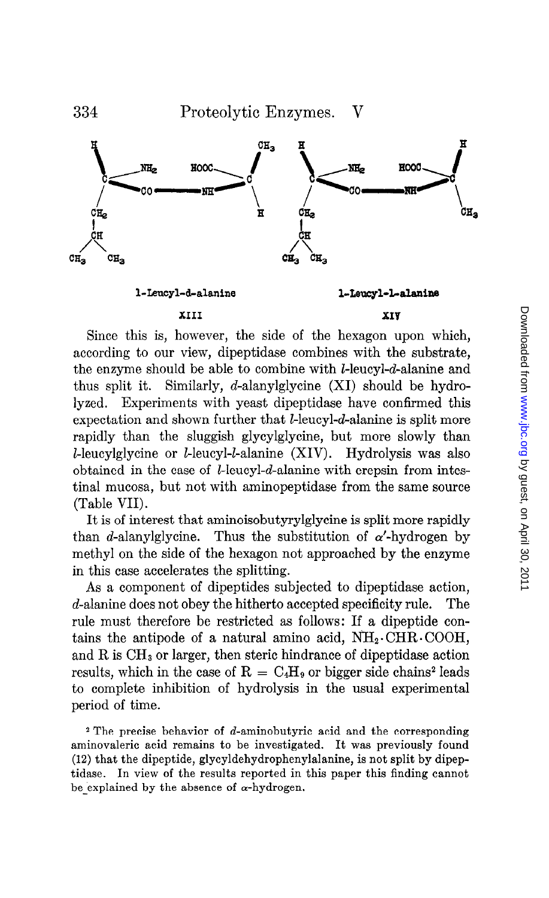

Since this is, however, the side of the hexagon upon which, according to our view, dipeptidase combines with the substrate, the enzyme should be able to combine with *l*-leucyl-*d*-alanine and thus split it. Similarly, d-alanylglycine (XI) should be hydrolyzed. Experiments with yeast dipeptidase have confirmed this expectation and shown further that *l*-leucyl-d-alanine is split more rapidly than the sluggish glycylglycine, but more slowly than l-leucylglycine or *l*-leucyl-*l*-alanine (XIV). Hydrolysis was also obtained in the case of I-leucyl-d-alanine with erepsin from intestinal mucosa, but not with aminopeptidase from the same source (Table VII).

It is of interest that aminoisobutyrylglycine is split more rapidly than d-alanylglycine. Thus the substitution of  $\alpha'$ -hydrogen by methyl on the side of the hexagon not approached by the enzyme in this case accelerates the splitting.

As a component of dipeptides subjected to dipeptidase action, d-alanine does not obey the hitherto accepted specificity rule. The rule must therefore be restricted as follows: If a dipeptide contains the antipode of a natural amino acid,  $NH<sub>2</sub>.\text{CHR} \cdot \text{COOH}$ , and R is  $CH<sub>3</sub>$  or larger, then steric hindrance of dipeptidase action results, which in the case of  $R = C_4H_9$  or bigger side chains<sup>2</sup> leads to complete inhibition of hydrolysis in the usual experimental period of time.

 $2$  The precise behavior of d-aminobutyric acid and the corresponding aminovaleric acid remains to be investigated. It was previously found (12) that the dipeptide, glycyldehydrophenylalanine, is not split by dipeptidase. In view of the results reported in this paper this finding cannot be explained by the absence of  $\alpha$ -hydrogen.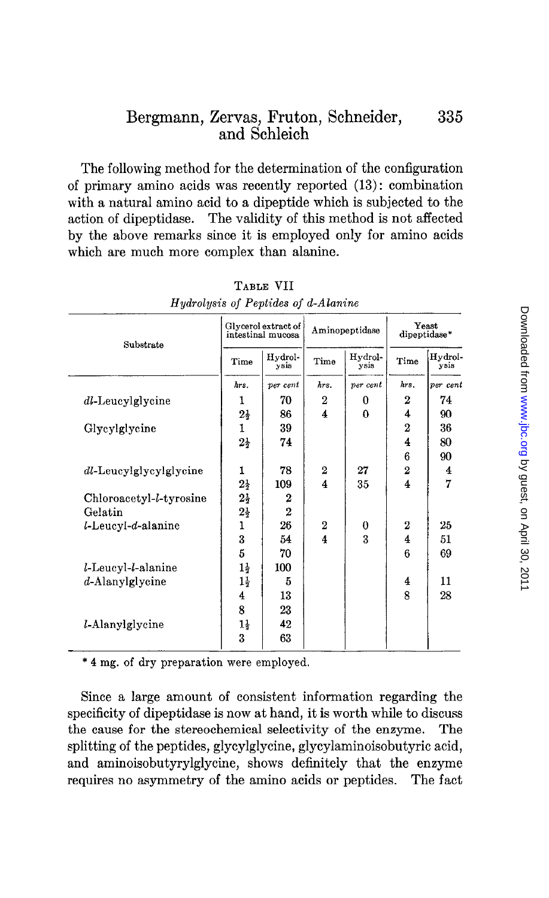The following method for the determination of the configuration of primary amino acids was recently reported (13): combination with a natural amino acid to a dipeptide which is subjected to the action of dipeptidase. The validity of this method is not affected by the above remarks since it is employed only for amino acids which are much more complex than alanine.

| Substrate               |                | Glycerol extract of<br>intestinal mucosa | Aminopeptidase          |                 |                | Yeast<br>dipeptidase* |  |
|-------------------------|----------------|------------------------------------------|-------------------------|-----------------|----------------|-----------------------|--|
|                         | Time           | Hydrol-<br>ysis                          | Time                    | Hydrol-<br>ysis | Time           | Hydrol-<br>ysis       |  |
|                         | hrs.           | per cent                                 | hrs.                    | per cent        | hrs.           | per cent              |  |
| dl-Leucylglycine        | 1              | 70                                       | 2                       | 0               | 2              | 74                    |  |
|                         | $2\frac{1}{2}$ | 86                                       | $\overline{4}$          | $\Omega$        | 4              | 90                    |  |
| Glycylglycine           | 1              | 39                                       |                         |                 | $\overline{2}$ | 36                    |  |
|                         | $2\frac{1}{2}$ | 74                                       |                         |                 | 4              | 80                    |  |
|                         |                |                                          |                         |                 | 6              | 90                    |  |
| dl-Leucylglycylglycine  | 1              | 78                                       | 2                       | 27              | $\overline{2}$ | 4                     |  |
|                         | $2\frac{1}{2}$ | 109                                      | $\overline{\mathbf{4}}$ | 35              | 4              | 7                     |  |
| Chloroacetyl-l-tyrosine | $2\frac{1}{2}$ | $\boldsymbol{2}$                         |                         |                 |                |                       |  |
| Gelatin                 | $2\frac{1}{2}$ | $\overline{2}$                           |                         |                 |                |                       |  |
| l-Leucyl-d-alanine      | 1              | 26                                       | 2                       | 0               | 2              | 25                    |  |
|                         | 3              | 54                                       | 4                       | $\mathbf{3}$    | 4              | 51                    |  |
|                         | 5              | 70                                       |                         |                 | 6              | 69                    |  |
| l-Leucyl-l-alanine      | $1\frac{1}{2}$ | 100                                      |                         |                 |                |                       |  |
| $d$ -Alanylglycine      | $1\frac{1}{2}$ | 5                                        |                         |                 | 4              | 11                    |  |
|                         | 4              | 13                                       |                         |                 | 8              | 28                    |  |
|                         | 8              | 23                                       |                         |                 |                |                       |  |
| <i>l</i> -Alanylglycine | 14             | 42                                       |                         |                 |                |                       |  |
|                         | 3              | 63                                       |                         |                 |                |                       |  |

TABLE VII Hydrolysis of Peptides of d-Alani -

\* 4 mg. of dry preparation were employed.

Since a large amount of consistent information regarding the specificity of dipeptidase is now at hand, it is worth while to discuss the cause for the stereochemical selectivity of the enzyme. The splitting of the peptides, glycylglycine, glycylaminoisobutyric acid, and aminoisobutyrylglycine, shows definitely that the enzyme requires no asymmetry of the amino acids or peptides. The fact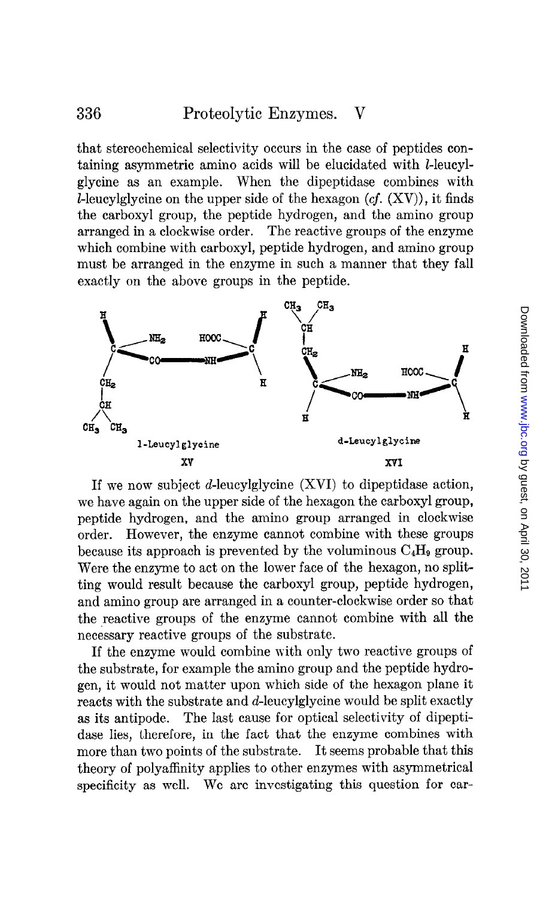# 336 Proteolytic Enzymes. V

that stereochemical selectivity occurs in the case of peptides containing asymmetric amino acids will be elucidated with  $l$ -leucylglycine as an example. When the dipeptidase combines with L-leucylglycine on the upper side of the hexagon  $(cf. (XV))$ , it finds the carboxyl group, the peptide hydrogen, and the amino group arranged in a clockwise order. The reactive groups of the enzyme which combine with carboxyl, peptide hydrogen, and amino group must be arranged in the enzyme in such a manner that they fall exactly on the above groups in the peptide.



If we now subject d-leucylglycine (XVI) to dipeptidase action, we have again on the upper side of the hexagon the carboxyl group, peptide hydrogen, and the amino group arranged in clockwise order. However, the enzyme cannot combine with these groups because its approach is prevented by the voluminous  $C_4H_9$  group. Were the enzyme to act on the lower face of the hexagon, no splitting would result because the carboxyl group, peptide hydrogen, and amino group are arranged in a counter-clockwise order so that the reactive groups of the enzyme cannot combine with all the necessary reactive groups of the substrate.

If the enzyme would combine with only two reactive groups of the substrate, for example the amino group and the peptide hydrogen, it would not matter upon which side of the hexagon plane it reacts with the substrate and d-leucylglycine would be split exactly as its antipode. The last cause for optical selectivity of dipeptidase lies, therefore, in the fact that the enzyme combines with more than two points of the substrate. It seems probable that this theory of polyaffinity applies to other enzymes with asymmetrical specificity as well. We are investigating this question for car-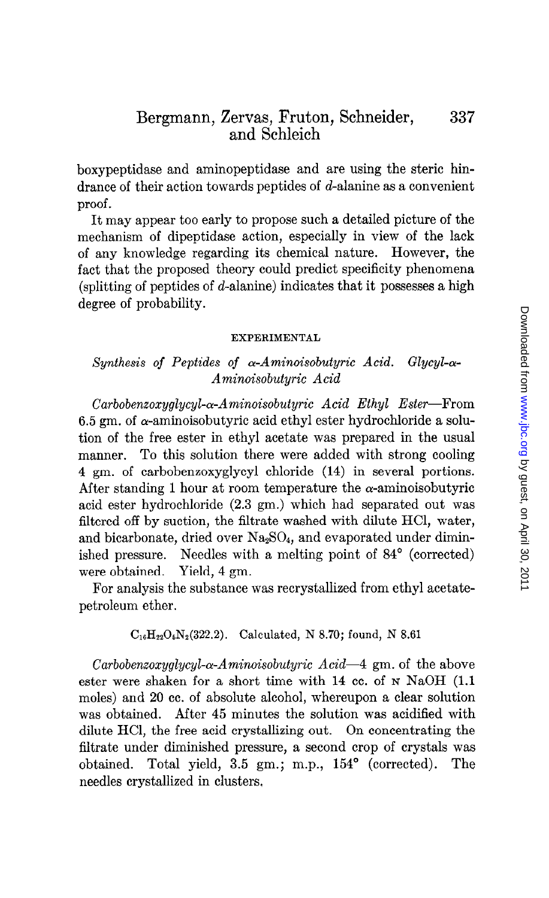boxypeptidase and aminopeptidase and are using the steric hindrance of their action towards peptides of d-alanine as a convenient proof.

It may appear too early to propose such a detailed picture of the mechanism of dipeptidase action, especially in view of the lack of any knowledge regarding its chemical nature. However, the fact that the proposed theory could predict specificity phenomena (splitting of peptides of d-alanine) indicates that it possesses a high degree of probability.

## EXPERIMENTAL

# Synthesis of Peptides of  $\alpha$ -Aminoisobutyric Acid. Glycyl- $\alpha$ -Aminoisobutyric Acid

 $Carbobenzoxualucul- $\alpha$ -Aminoisobuturic Acid Ethul Ester-From$ 6.5 gm, of  $\alpha$ -aminoisobutyric acid ethyl ester hydrochloride a solution of the free ester in ethyl acetate was prepared in the usual manner. To this solution there were added with strong cooling 4 gm. of carbobenxoxyglycyl chloride (14) in several portions. After standing 1 hour at room temperature the  $\alpha$ -aminoisobutyric acid ester hydrochloride (2.3 gm.) which had separated out was filtered off by suction, the filtrate washed with dilute HCl, water, and bicarbonate, dried over  $Na<sub>2</sub>SO<sub>4</sub>$ , and evaporated under diminished pressure. Needles with a melting point of 84' (corrected) were obtained. Yield, 4 gm.

For analysis the substance was recrystallized from ethyl acetatepetroleum ether.

## $C_{16}H_{22}O_6N_2(322.2)$ . Calculated, N 8.70; found, N 8.61

Carbobenzoxyglycyl- $\alpha$ -Aminoisobutyric Acid-4 gm. of the above ester were shaken for a short time with 14 cc. of N NaOH (1.1) moles) and 20 cc. of absolute alcohol, whereupon a clear solution was obtained. After 45 minutes the solution was acidified with dilute HCl, the free acid crystallizing out. On concentrating the filtrate under diminished pressure, a second crop of crystals was obtained. Total yield, 3.5 gm.; m.p., 154' (corrected). The needles crystallized in clusters.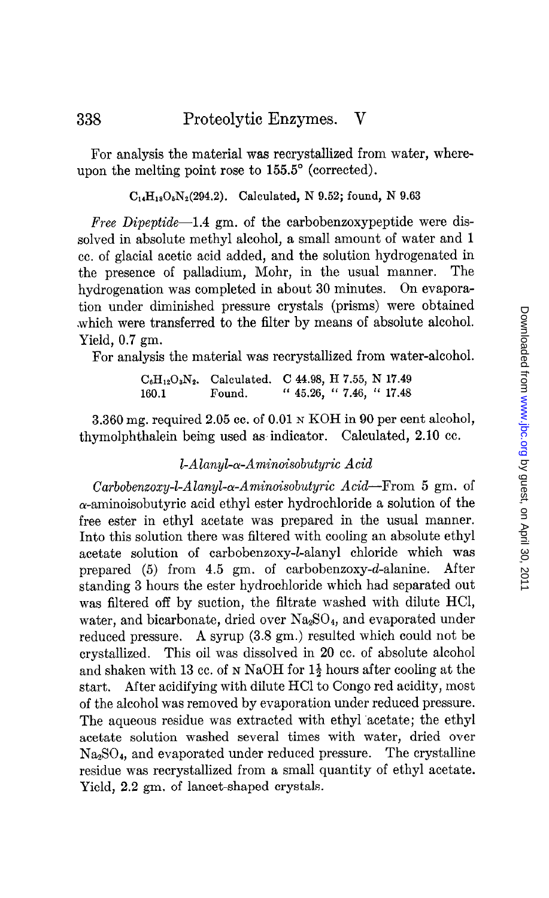For analysis the material was recrystallized from water, whereupon the melting point rose to  $155.5^{\circ}$  (corrected).

 $C_{14}H_{18}O_5N_2(294.2)$ . Calculated, N 9.52; found, N 9.63

Free Dipeptide-1.4 gm. of the carbobenzoxypeptide were dissolved in absolute methyl alcohol, a small amount of water and 1 cc. of glacial acetic acid added, and the solution hydrogenated in the presence of palladium, Mohr, in the usual manner. The hydrogenation was completed in about 30 minutes. On evaporation under diminished pressure crystals (prisms) were obtained .which were transferred to the filter by means of absolute alcohol. Yield, 0.7 gm.

For analysis the material was recrystallized from water-alcohol.

 $C_6H_{12}O_3N_2$ . Calculated. C 44.98, H 7.55, N 17.49 160.1 Found. " 45.26, " 7.46, " 17.48

3.360 mg. required 2.05 cc. of 0.01 N KOH in 90 per cent alcohol, thymolphthalein being used as indicator. Calculated, 2.10 cc.

# $l$ -Alanyl- $\alpha$ -Aminoisobutyric Acid

 $Carbobenzoxy-L-Alanyl- $\alpha$ -Aminoisobutyric Acid—From 5 gm. of$  $\alpha$ -aminoisobutyric acid ethyl ester hydrochloride a solution of the free ester in ethyl acetate was prepared in the usual manner. Into this solution there was filtered with cooling an absolute ethyl acetate solution of carbobenzoxy-l-alanyl chloride which was prepared (5) from 4.5 gm. of carbobenzoxy-d-alanine. After standing 3 hours the ester hydrochloride which had separated out was filtered off by suction, the filtrate washed with dilute HCI, water, and bicarbonate, dried over Na<sub>2</sub>SO<sub>4</sub>, and evaporated under reduced pressure. A syrup (3.8 gm.) resulted which could not be crystallized. This oil was dissolved in 20 cc. of absolute alcohol and shaken with 13 cc. of N NaOH for  $1\frac{1}{2}$  hours after cooling at the start. After acidifying with dilute HCl to Congo red acidity, most of the alcohol was removed by evaporation under reduced pressure. The aqueous residue was extracted with ethyl 'acetate; the ethyl acetate solution washed several times with water, dried over  $Na<sub>3</sub>SO<sub>4</sub>$ , and evaporated under reduced pressure. The crystalline residue was recrystallized from a small quantity of ethyl acetate. Yield, 2.2 gm. of lancet-shaped crystals.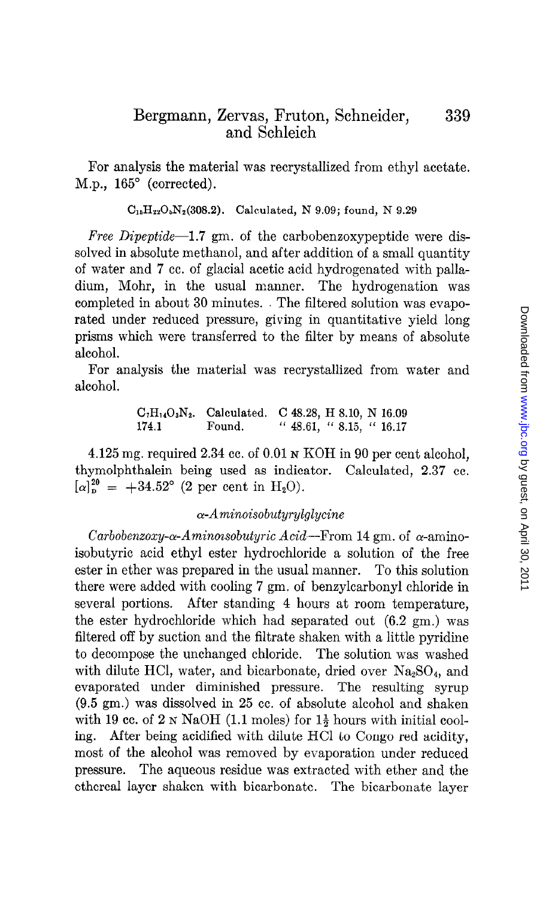For analysis the material was recrystallized from ethyl acetate. M.p.,  $165^{\circ}$  (corrected).

 $C_{15}H_{22}O_5N_2(308.2)$ . Calculated, N 9.09; found, N 9.29

Free Dipeptide-1.7 gm. of the carbobenzoxypeptide were dissolved in absolute methanol, and after addition of a small quantity of water and 7 cc. of glacial acetic acid hydrogenated with palladium, Mohr, in the usual manner. The hydrogenation was completed in about 30 minutes. The filtered solution was evaporated under reduced pressure, giving in quantitative yield long prisms which were transferred to the filter by means of absolute alcohol.

For analysis the material was recrystallized from water and alcohol.

> $C_7H_{14}O_3N_2$ . Calculated. C 48.28, H 8.10, N 16.09 174.1 Found. " 48.61, " 8.15, " 16.17

4.125 mg. required 2.34 cc. of 0.01 N KOH in 90 per cent alcohol, thymolphthalein being used as indicator. Calculated, 2.37 cc.  $[\alpha]_p^{20} = +34.52^{\circ}$  (2 per cent in H<sub>2</sub>O).

# $\alpha$ -Aminoisobutyrylglycine

Carbobenzoxy- $\alpha$ -Aminoisobutyric Acid-From 14 gm. of  $\alpha$ -aminoisobutyric acid ethyl ester hydrochloride a solution of the free ester in ether was prepared in the usual manner. To this solution there were added with cooling 7 gm. of benzylcarbonyl chloride in several portions. After standing 4 hours at room temperature, the ester hydrochloride which had separated out (6.2 gm.) was filtered off by suction and the filtrate shaken with a little pyridine to decompose the unchanged chloride. The solution was washed with dilute HCl, water, and bicarbonate, dried over  $Na_2SO_4$ , and evaporated under diminished pressure. The resulting syrup (9.5 gm.) was dissolved in 25 cc. of absolute alcohol and shaken with 19 cc. of  $2 \text{ N } \text{NaOH}$  (1.1 moles) for  $1\frac{1}{2}$  hours with initial cooling. After being acidified with dilute HCl to Congo red acidity, most of the alcohol was removed by evaporation under reduced pressure. The aqueous residue was extracted with ether and the ethereal layer shaken with bicarbonate. The bicarbonate layer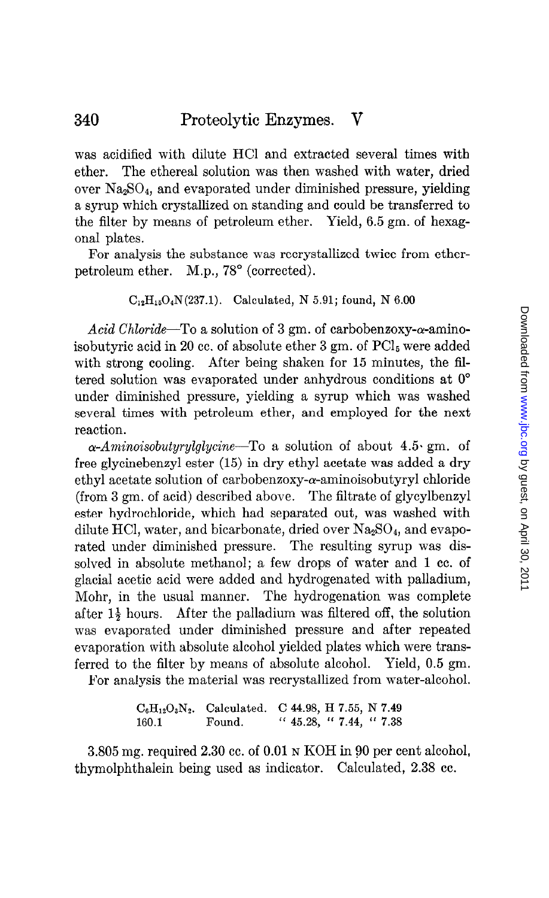was acidified with dilute HCI and extracted several times with ether. The ethereal solution was then washed with water, dried over Na2S04, and evaporated under diminished pressure, yielding a syrup which crystallized on standing and could be transferred to the filter by means of petroleum ether. Yield, 6.5 gm. of hexagonal plates.

For analysis the substance was recrystallized twice from etherpetroleum ether. M.p., 78° (corrected).

# $C_{12}H_{15}O_4N(237.1)$ . Calculated, N 5.91; found, N 6.00

Acid Chloride-To a solution of 3 gm. of carbobenzoxy- $\alpha$ -aminoisobutyric acid in 20 cc. of absolute ether  $3 \text{ gm}$ . of  $\text{PCl}_5$  were added with strong cooling. After being shaken for  $15$  minutes, the filtered solution was evaporated under anhydrous conditions at  $0^{\circ}$ under diminished pressure, yielding a syrup which was washed several times with petroleum ether, and employed for the next reaction.

 $\alpha$ -Aminoisobutyrylglycine—To a solution of about 4.5 gm. of free glycinebenzyl ester (15) in dry ethyl acetate was added a dry ethyl acetate solution of carbobenzoxy- $\alpha$ -aminoisobutyryl chloride (from 3 gm. of acid) described above. The filtrate of glycylbenzyl ester hydrochloride, which had separated out, was washed with dilute HCl, water, and bicarbonate, dried over  $Na<sub>2</sub>SO<sub>4</sub>$ , and evaporated under diminished pressure. The resulting syrup was dissolved in absolute methanol; a few drops of water and 1 cc. of glacial acetic acid were added and hydrogenated with palladium, Mohr, in the usual manner. The hydrogenation was complete after  $1\frac{1}{2}$  hours. After the palladium was filtered off, the solution was evaporated under diminished pressure and after repeated evaporation with absolute alcohol yielded plates which were transferred to the filter by means of absolute alcohol. Yield, 0.5 gm.

For analysis the material was recrystallized from water-alcohol.

 $C_6H_{12}O_3N_2$ . Calculated. C 44.98, H 7.55, N 7.49 160.1 Found. " 45.28, " 7.44, " 7.38

3.805 mg. required 2.30 cc. of 0.01 N KOH in 80 per cent alcohol, thymolphthalein being used as indicator. Calculated, 2.38 cc.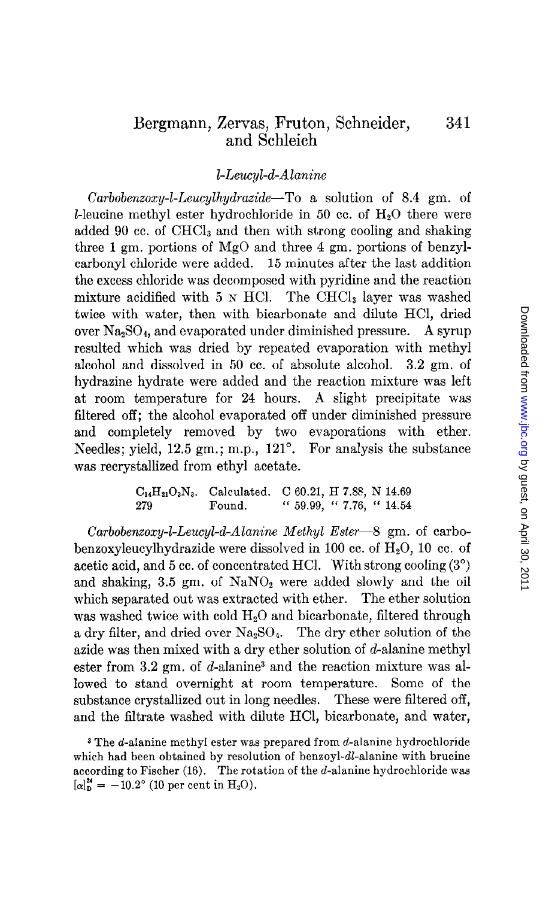## I-Leucyl-d-Alanine

Carbobenzoxy-l-Leucylhydrazide-To a solution of 8.4 gm. of I-leucine methyl ester hydrochloride in 50 cc. of  $H_2O$  there were added 90 cc. of CHCl<sub>3</sub> and then with strong cooling and shaking three 1 gm. portions of MgO and three 4 gm. portions of benzylcarbonyl chloride were added. 15 minutes after the last addition the excess chloride was decomposed with pyridine and the reaction mixture acidified with  $5 \text{ N}$  HCl. The CHCl<sub>3</sub> layer was washed twice with water, then with bicarbonate and dilute HCl, dried over  $Na<sub>2</sub>SO<sub>4</sub>$ , and evaporated under diminished pressure. A syrup resulted which was dried by repeated evaporation with methyl alcohol and dissolved in 50 cc. of absolute alcohol. 3.2 gm. of hydrazine hydrate were added and the reaction mixture was left at room temperature for 24 hours. A slight precipitate was filtered off; the alcohol evaporated off under diminished pressure and completely removed by two evaporations with ether. Needles; yield, 12.5 gm.; m.p., 121<sup>°</sup>. For analysis the substance was recrystallized from ethyl acetate.

$$
C_{14}H_{21}O_3N_3.
$$
   
Calculated. C 60.21, H 7.88, N 14.69  
279  
Found. " 59.99, " 7.76, " 14.54

 $Carbobenzoxy-LLeucyl-d-Alanine Methyl Ester-8 gm. of carbo$ benzoxyleucylhydrazide were dissolved in 100 cc. of  $H_2O$ , 10 cc. of acetic acid, and 5 cc. of concentrated HCl. With strong cooling  $(3^{\circ})$ and shaking,  $3.5 \text{ gm. of } \text{NaNO}_2$  were added slowly and the oil which separated out was extracted with ether. The ether solution was washed twice with cold  $H_2O$  and bicarbonate, filtered through a dry filter, and dried over  $Na<sub>2</sub>SO<sub>4</sub>$ . The dry ether solution of the azide was then mixed with a dry ether solution of d-alanine methyl ester from  $3.2 \text{ gm}$ . of d-alanine<sup>3</sup> and the reaction mixture was allowed to stand overnight at room temperature. Some of the substance crystallized out in long needles. These were filtered off, and the filtrate washed with dilute HCl, bicarbonate, and water,

<sup>3</sup> The d-alanine methyl ester was prepared from d-alanine hydrochloride which had been obtained by resolution of benzoyl-dl-alanine with brucine according to Fischer  $(16)$ . The rotation of the *d*-alanine hydrochloride was  $[\alpha]_D^{\mathbf{z}} = -10.2^{\circ}$  (10 per cent in H<sub>2</sub>O).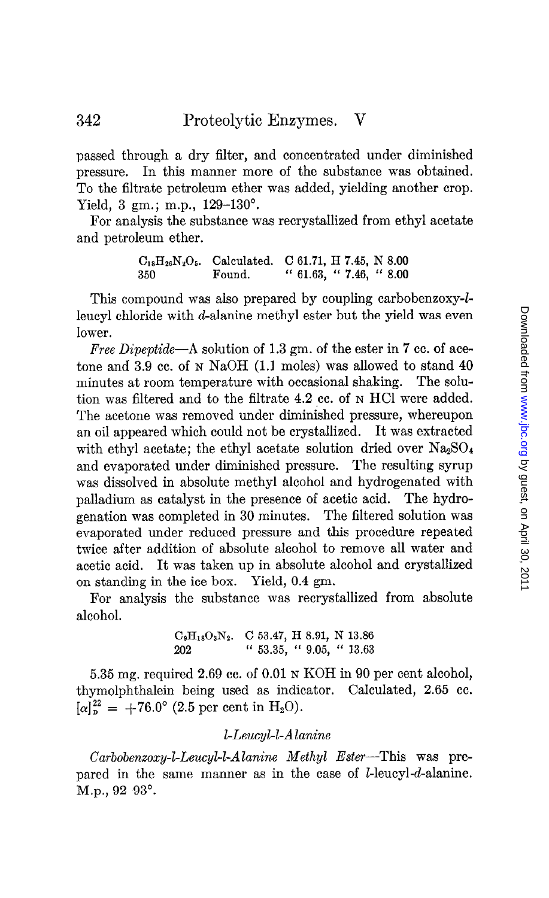passed through a dry filter, and concentrated under diminished pressure. In this manner more of the substance was obtained. To the filtrate petroleum ether was added, yielding another crop. Yield, 3 gm.; m.p., 129-130°.

For analysis the substance was recrystallized from ethyl acetate and petroleum ether.

> $C_{18}H_{26}N_2O_5$ . Calculated. C 61.71, H 7.45, N 8.00 350 Found. " 61.63, " 7.46, " 8.00

This compound was also prepared by coupling carbobenzoxy-lleucyl chloride with d-alanine methyl ester but the yield was even lower.

Free Dipeptide—A solution of 1.3 gm. of the ester in 7 cc. of acetone and 3.9 cc. of N NaOH (1.1 moles) was allowed to stand 40 minutes at room temperature with occasional shaking. The solution was filtered and to the filtrate 4.2 cc. of N HCl were added. The acetone was removed under diminished pressure, whereupon an oil appeared which could not be crystallized. It was extracted with ethyl acetate; the ethyl acetate solution dried over  $Na<sub>2</sub>SO<sub>4</sub>$ and evaporated under diminished pressure. The resulting syrup was dissolved in absolute methyl alcohol and hydrogenated with palladium as catalyst in the presence of acetic acid. The hydrogenation was completed in 30 minutes. The filtered solution was evaporated under reduced pressure and this procedure repeated twice after addition of absolute alcohol to remove all water and acetic acid. It was taken up in absolute alcohol and crystallized on standing in the ice box. Yield, 0.4 gm.

For analysis the substance was recrystallized from absolute alcohol.

> $C_9H_{18}O_3N_2$ . C 53.47, H 8.91, N 13.86 202 " 53.35, " 9.05, " 13.63

5.35 mg. required 2.69 cc. of 0.01 N KOH in 90 per cent alcohol, thymolphthalein being used as indicator. Calculated, 2.65 cc.  $[\alpha]_p^{22} = +76.0^{\circ}$  (2.5 per cent in H<sub>2</sub>O).

# I-Leucyl-l-Alanine

 $Carbobenzoxy-L-Eeucyl-L-Alanine$  Methyl Ester-This was prepared in the same manner as in the case of I-leucyl-d-alanine.  $M.p., 92-93°.$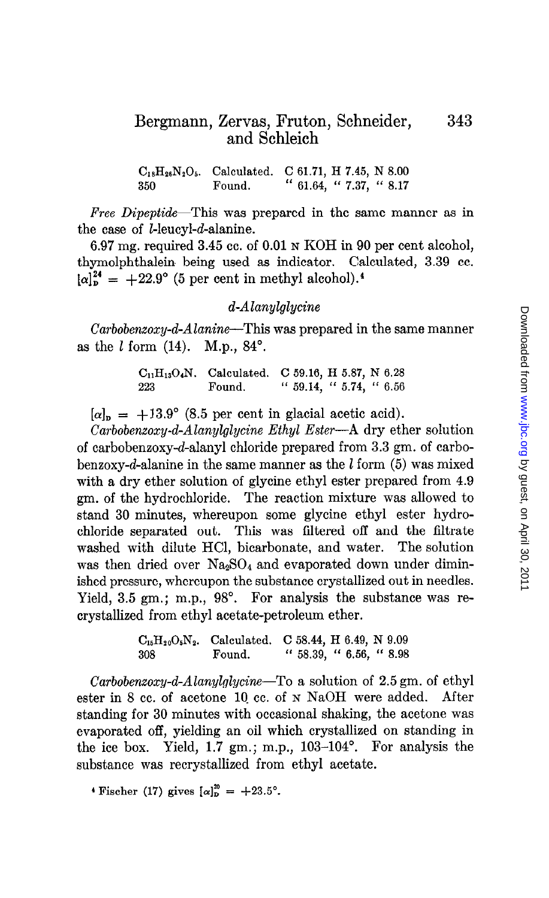$C_{18}H_{26}N_2O_5$ . Calculated. C 61.71, H 7.45, N 8.00 350 Found. " 61.64, " 7.37, " 8.17

Free Dipeptide—This was prepared in the same manner as in the case of I-leucyl-d-alanine.

6.97 mg. required 3.45 cc. of 0.01 N KOH in 90 per cent alcohol, thymolphthalein being used as indicator. Calculated, 3.39 cc.  $[\alpha]_{\rm p}^{24}$  = +22.9° (5 per cent in methyl alcohol).<sup>4</sup>

# d-Alanylglycine

Carbobenzoxy-d-Alanine-This was prepared in the same manner as the  $l$  form  $(14)$ . M.p.,  $84^\circ$ .

> $C_{11}H_{13}O_4N$ . Calculated. C 59.16, H 5.87, N 6.28 223 Found. " 59.14, " 5.74, " 6.56

 $[\alpha]_{\rm p} = +13.9^{\circ}$  (8.5 per cent in glacial acetic acid).

 $Carbobenzoxy-d-Alanylycine Ethyl Ester-A dry ether solution$ of carbobenzoxy-d-alanyl chloride prepared from 3.3 gm. of carbobenzoxy-d-alanine in the same manner as the  $l$  form (5) was mixed with a dry ether solution of glycine ethyl ester prepared from 4.9 gm. of the hydrochloride. The reaction mixture was allowed to stand 30 minutes, whereupon some glycine ethyl ester hydrochloride separated out. This was filtered off and the filtrate washed with dilute HCl, bicarbonate, and water. The solution was then dried over  $Na<sub>2</sub>SO<sub>4</sub>$  and evaporated down under diminished pressure, whereupon the substance crystallized out in needles. Yield, 3.5 gm.; m.p., 98°. For analysis the substance was recrystallized from ethyl acetate-petroleum ether.

> $C_{16}H_{20}O_5N_2$ . Calculated. C 58.44, H 6.49, N 9.09 308 Found. " 58.39, " 6.56, " 8.98

Carbobenzoxy-d-Alanylglycine-To a solution of  $2.5 \text{ gm}$ . of ethyl ester in 8 cc. of acetone 10. cc. of N NaOH were added. After standing for 30 minutes with occasional shaking, the acetone was evaporated off, yielding an oil which crystallized on standing in the ice box. Yield, 1.7 gm.; m.p., 103-104°. For analysis the substance was recrystallized from ethyl acetate.

 $\cdot$  Fischer (17) gives  $[\alpha]_{D}^{20} = +23.5^{\circ}$ .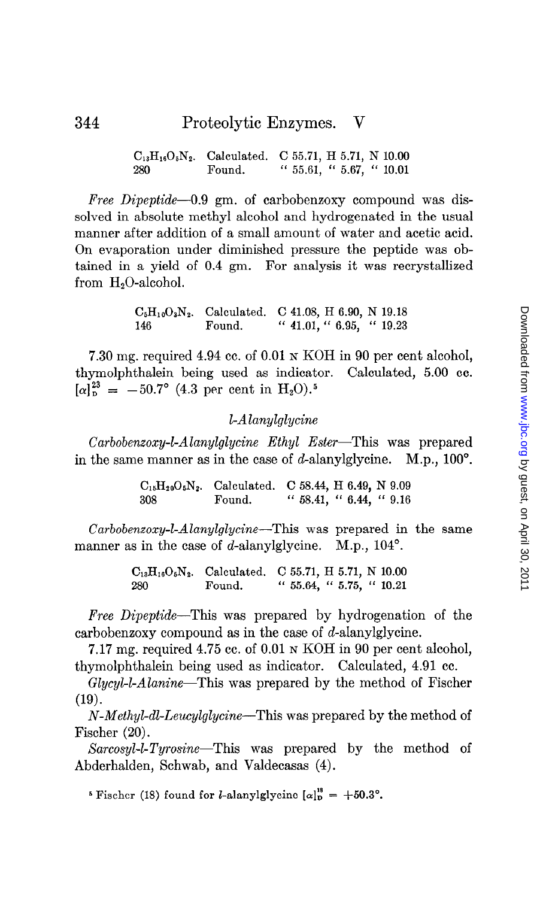```
C_{13}H_{16}O_5N_2. Calculated. C 55.71, H 5.71, N 10.00
280 Found. " 55.61, " 5.67, " 10.01
```
Free Dipeptide-0.9 gm. of carbobenzoxy compound was dissolved in absolute methyl alcohol and hydrogenated in the usual manner after addition of a small amount of water and acetic acid. On evaporation under diminished pressure the peptide was obtained in a yield of 0.4 gm. For analysis it was recrystallized from  $H_2O$ -alcohol.

> $C_5H_1,0_3N_2$ . Calculated. C 41.08, H 6.90, N 19.18 146 Found. '' 41.01, '' 6.95, '' 19.23

7.30 mg. required 4.94 cc. of 0.01 N KOH in 90 per cent alcohol, thymolphthalein being used as indicator. Calculated, 5.00 cc.  $[\alpha]_p^{23} = -50.7^\circ$  (4.3 per cent in H<sub>2</sub>O).<sup>5</sup>

# I-Alanylglycine

 $Carbobenzoxy-L-Alanylycine Ethyl Ester—This was prepared$ in the same manner as in the case of d-alanylglycine.  $M.p., 100^{\circ}$ .

> $C_{15}H_{20}O_5N_2$ . Calculated. C 58.44, H 6.49, N 9.09 308 Found. " 58.41, " 6.44, " 9.16

Carbobenzoxy-l-Alanylglycine-This was prepared in the same manner as in the case of d-alanylglycine. M.p., 104°.

> $C_{13}H_{16}O_5N_2$ . Calculated. C 55.71, H 5.71, N 10.00 280 Found. " 55.64, " 5.75, " 10.21

Free Dipeptide-This was prepared by hydrogenation of the carbobenzoxy compound as in the case of d-alanylglycine.

7.17 mg. required 4.75 cc. of 0.01 N KOH in 90 per cent alcohol, thymolphthalein being used as indicator. Calculated, 4.91 cc.

Glycyl-l-Alanine—This was prepared by the method of Fischer  $(19).$ 

N-Methyl-dl-Leucylglycine—This was prepared by the method of Fischer (20).

Sarcosyl-l-Tyrosine-This was prepared by the method of Abderhalden, Schwab, and Valdecasas (4).

<sup>5</sup> Fischer (18) found for *l*-alanylglycine  $[\alpha]_D^{18} = +50.3^\circ$ .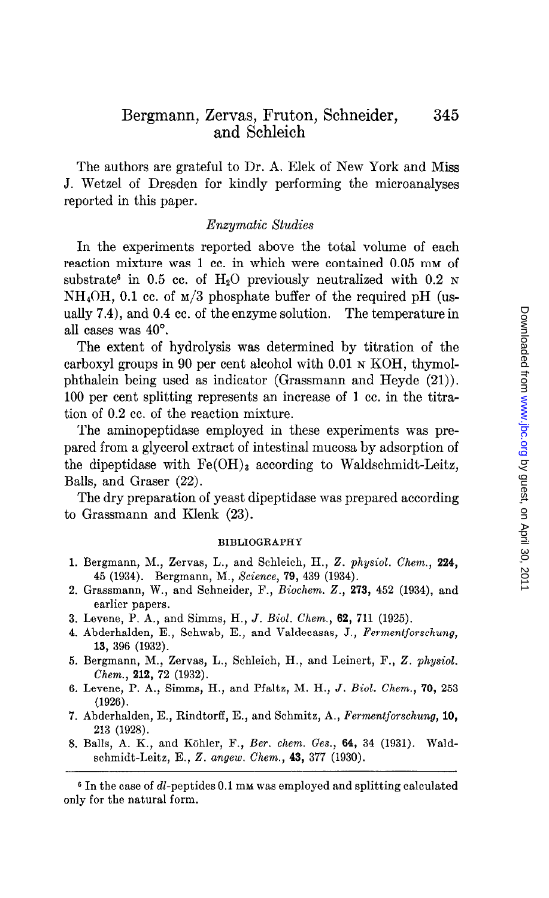The authors are grateful to Dr. A. Elek of New York and Miss J. Wetzel of Dresden for kindly performing the microanalyses reported in this paper.

## Enzymatic Studies

In the experiments reported above the total volume of each reaction mixture was 1 cc. in which were contained 0.05 mm of substrate<sup>6</sup> in 0.5 cc. of  $H_2O$  previously neutralized with 0.2 N  $NH<sub>4</sub>OH$ , 0.1 cc. of  $M/3$  phosphate buffer of the required pH (usually 7.4), and 0.4 cc. of the enzyme solution. The temperature in all cases was 40".

The extent of hydrolysis was determined by titration of the carboxyl groups in 90 per cent alcohol with 0.01 N KOH, thymolphthalein being used as indicator (Grassmann and Heyde (21)). 100 per cent splitting represents an increase of 1 cc. in the titration of 0.2 cc. of the reaction mixture.

The aminopeptidase employed in these experiments was prepared from a glycerol extract of intestinal mucosa by adsorption of the dipeptidase with  $Fe(OH)_3$  according to Waldschmidt-Leitz, Balls, and Graser (22).

The dry preparation of yeast dipeptidase was prepared according to Grassmann and Klenk (23).

### BIBLIOGRAPHY

- 1. Bergmann, M., Zervas, L., and Schleich, H., 2. physiol. Chem., 224, 45 (1934). Bergmann, M., Science, 79, 439 (1934).
- 2. Grassmann, W., and Schneider, F., Biochem. Z., 273, 452 (1934), and earlier papers.
- 3. Levene, P. A., and Simms, H., J. Biol. Chem., 62, 711 (1925).
- 4. Abderhalden, E., Schwab, E., and Valdecasas, J., Fermentforschung, 13, 396 (1932).
- 5. Bergmann, M., Zervas, L., Schleich, H., and Leinert, F., 2. physiol. Chem., 212, 72 (1932).
- 6. Levene, P. A., Simms, H., and Pfaltz, M. H., J. Biol. Chem., 70, 253 (1926).
- 7. Abdcrhalden, E., Rindtorff, E., and Schmitz, A., Fermentforschung, 10, 213 (1928).
- 8. Balls, A. K., and Köhler, F., Ber. chem. Ges., 64, 34 (1931). Waldschmidt-Leitz, E., Z. angew. Chem., 43, 377 (1930).

 $6$  In the case of dl-peptides 0.1 mm was employed and splitting calculated only for the natural form.